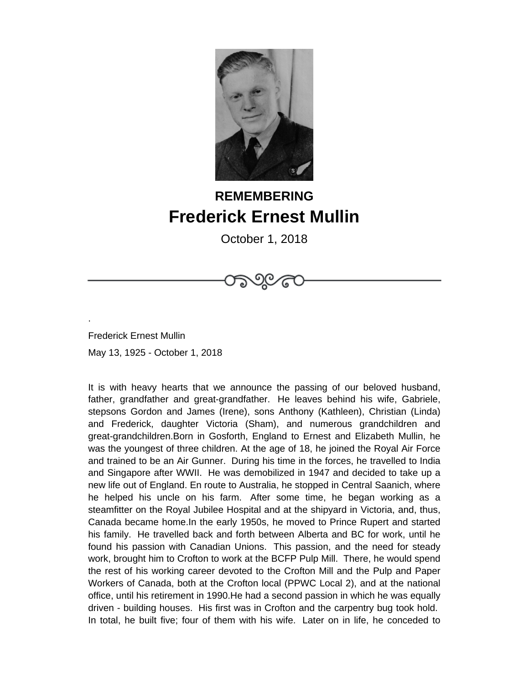

## **REMEMBERING Frederick Ernest Mullin**

October 1, 2018

Frederick Ernest Mullin May 13, 1925 - October 1, 2018

.

It is with heavy hearts that we announce the passing of our beloved husband, father, grandfather and great-grandfather. He leaves behind his wife, Gabriele, stepsons Gordon and James (Irene), sons Anthony (Kathleen), Christian (Linda) and Frederick, daughter Victoria (Sham), and numerous grandchildren and great-grandchildren.Born in Gosforth, England to Ernest and Elizabeth Mullin, he was the youngest of three children. At the age of 18, he joined the Royal Air Force and trained to be an Air Gunner. During his time in the forces, he travelled to India and Singapore after WWII. He was demobilized in 1947 and decided to take up a new life out of England. En route to Australia, he stopped in Central Saanich, where he helped his uncle on his farm. After some time, he began working as a steamfitter on the Royal Jubilee Hospital and at the shipyard in Victoria, and, thus, Canada became home.In the early 1950s, he moved to Prince Rupert and started his family. He travelled back and forth between Alberta and BC for work, until he found his passion with Canadian Unions. This passion, and the need for steady work, brought him to Crofton to work at the BCFP Pulp Mill. There, he would spend the rest of his working career devoted to the Crofton Mill and the Pulp and Paper Workers of Canada, both at the Crofton local (PPWC Local 2), and at the national office, until his retirement in 1990.He had a second passion in which he was equally driven - building houses. His first was in Crofton and the carpentry bug took hold. In total, he built five; four of them with his wife. Later on in life, he conceded to